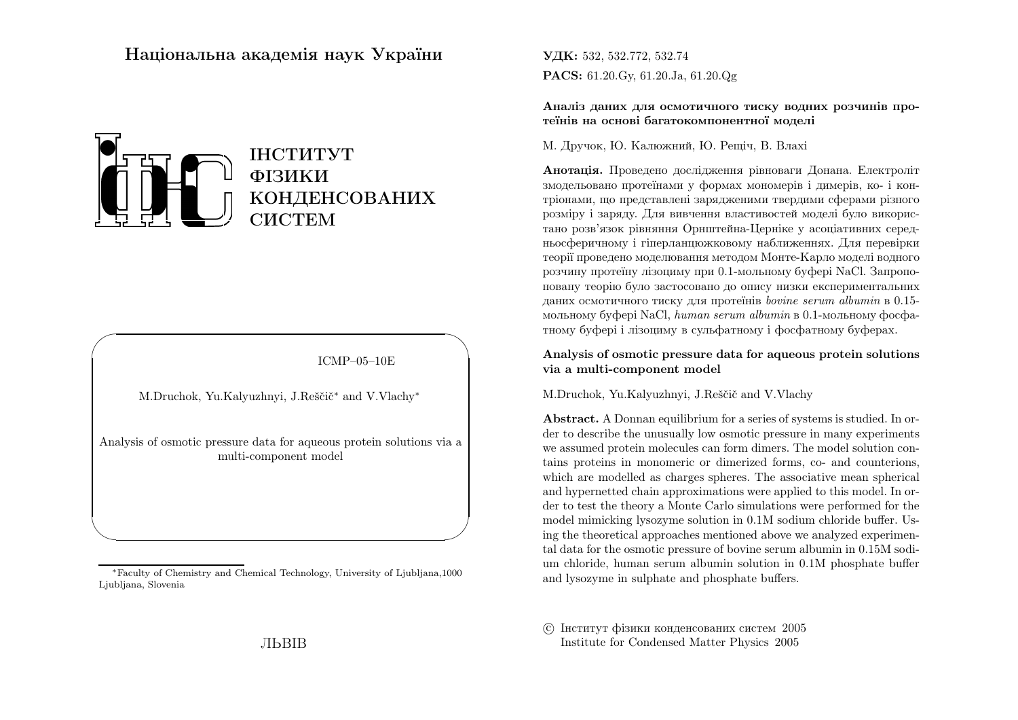# Нацiональна академiя наук України



ICMP–05–10E

✩

 $\overline{\phantom{a}}$ 

M.Druchok, Yu.Kalyuzhnyi, J.Reščič\* and V.Vlachy\*

 $\sqrt{2}$ 

 $\setminus$ 

Analysis of osmotic pressure data for aqueous protein solutions via <sup>a</sup>multi-component model

<sup>∗</sup>Faculty of Chemistry and Chemical Technology, University of Ljubljana,1000Ljubljana, Slovenia

**УДК:** 532, 532.772, 532.74  $\mathbf{PACS:} \ 61.20.\text{Gy,} \ 61.20.\text{Ja,} \ 61.20.\text{Qg}$ 

Аналiз даних для осмотичного тиску водних розчинiв протеїнiв на основi багатокомпонентної моделi

М. Дручок, Ю. Калюжний, Ю. Рещiч, В. Влахi

**Анотація.** Проведено дослідження рівноваги Донана. Електроліт змодельовано протеїнами <sup>у</sup> формах мономерiв <sup>i</sup> димерiв, ко- <sup>i</sup> контрiонами, що представлен<sup>i</sup> зарядженими твердими сферами <sup>р</sup>iзного розмiру <sup>i</sup> заряду. Для вивчення властивостей моделi було використано розв'язок <sup>р</sup>iвняння Орнштейна-Цернiке <sup>у</sup> асоцiативних середньосферичному <sup>i</sup> гiперланцюжковому наближеннях. Для перевiрки теорiї проведено моделювання методом Монте-Карло моделi водного розчину протеїну лiзоциму при 0.1-мольному буферi NaCl. Запропоновану теорiю було застосовано до опису низки експериментальних даних осмотичного тиску для протеїнiв bovine serum albumin <sup>в</sup> 0.15 мольному буферi NaCl, *human serum albumin* в 0.1-мольному фосфатному буферi <sup>i</sup> лiзоциму <sup>в</sup> сульфатному <sup>i</sup> фосфатному буферах.

Analysis of osmotic pressure data for aqueous protein solutionsvia <sup>a</sup> multi-component model

M.Druchok, Yu.Kalyuzhnyi, J.Reščič and V.Vlachy

Abstract. <sup>A</sup> Donnan equilibrium for <sup>a</sup> series of systems is studied. In or der to describe the unusually low osmotic pressure in many experiments we assumed protein molecules can form dimers. The model solution contains proteins in monomeric or dimerized forms, co- and counterions, which are modelled as charges spheres. The associative mean spherical and hypernetted chain approximations were applied to this model. In order to test the theory <sup>a</sup> Monte Carlo simulations were performed for the model mimicking lysozyme solution in 0.1M sodium chloride buffer. Using the theoretical approaches mentioned above we analyzed experimental data for the osmotic pressure of bovine serum albumin in 0.15M sodium chloride, human serum albumin solution in 0.1M <sup>p</sup>hosphate buffer and lysozyme in sulphate and <sup>p</sup>hosphate buffers.

 c Iнститут фiзики конденсованих систем <sup>2005</sup>Institute for Condensed Matter Physics <sup>2005</sup>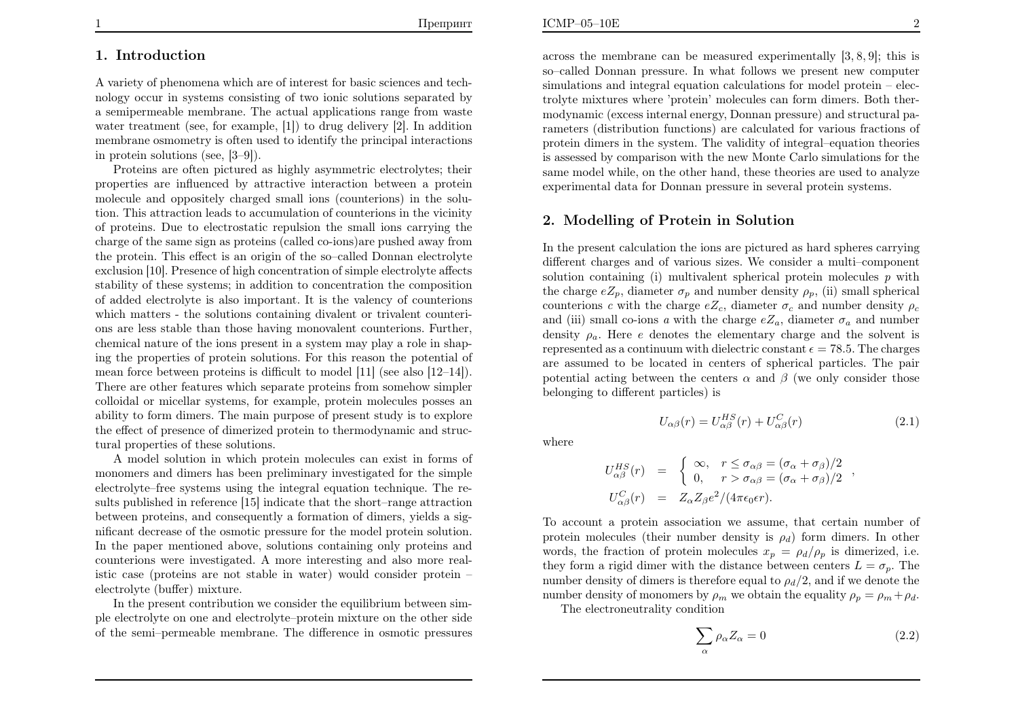## 1. Introduction

A variety of <sup>p</sup>henomena which are of interest for basic sciences and technology occur in systems consisting of two ionic solutions separated by <sup>a</sup> semipermeable membrane. The actual applications range from waste water treatment (see, for example, [1]) to drug delivery [2]. In addition membrane osmometry is often used to identify the principal interactionsin protein solutions (see, [3–9]).

Proteins are often <sup>p</sup>ictured as highly asymmetric electrolytes; their properties are influenced by attractive interaction between <sup>a</sup> protein molecule and oppositely charged small ions (counterions) in the solution. This attraction leads to accumulation of counterions in the vicinity of proteins. Due to electrostatic repulsion the small ions carrying the charge of the same sign as proteins (called co-ions)are pushed away from the protein. This effect is an origin of the so–called Donnan electrolyte exclusion [10]. Presence of high concentration of simple electrolyte affects stability of these systems; in addition to concentration the composition of added electrolyte is also important. It is the valency of counterions which matters - the solutions containing divalent or trivalent counterions are less stable than those having monovalent counterions. Further, chemical nature of the ions present in <sup>a</sup> system may <sup>p</sup>lay <sup>a</sup> role in shaping the properties of protein solutions. For this reason the potential of mean force between proteins is difficult to model [11] (see also [12–14]). There are other features which separate proteins from somehow simpler colloidal or micellar systems, for example, protein molecules posses an ability to form dimers. The main purpose of present study is to explore the effect of presence of dimerized protein to thermodynamic and structural properties of these solutions.

A model solution in which protein molecules can exist in forms of monomers and dimers has been preliminary investigated for the simple electrolyte–free systems using the integral equation technique. The results published in reference [15] indicate that the short–range attraction between proteins, and consequently <sup>a</sup> formation of dimers, <sup>y</sup>ields <sup>a</sup> significant decrease of the osmotic pressure for the model protein solution. In the paper mentioned above, solutions containing only proteins and counterions were investigated. <sup>A</sup> more interesting and also more realistic case (proteins are not stable in water) would consider protein –electrolyte (buffer) mixture.

In the present contribution we consider the equilibrium between sim<sup>p</sup>le electrolyte on one and electrolyte–protein mixture on the other sideof the semi–permeable membrane. The difference in osmotic pressures

across the membrane can be measured experimentally [3, 8, 9]; this is so–called Donnan pressure. In what follows we present new computer simulations and integral equation calculations for model protein – electrolyte mixtures where 'protein' molecules can form dimers. Both thermodynamic (excess internal energy, Donnan pressure) and structural parameters (distribution functions) are calculated for various fractions of protein dimers in the system. The validity of integral–equation theories is assessed by comparison with the new Monte Carlo simulations for the same model while, on the other hand, these theories are used to analyzeexperimental data for Donnan pressure in several protein systems.

# 2. Modelling of Protein in Solution

In the present calculation the ions are <sup>p</sup>ictured as hard spheres carrying different charges and of various sizes. We consider <sup>a</sup> multi–componentsolution containing (i) multivalent spherical protein molecules  $p$  with the charge  $eZ_p$ , diameter  $\sigma_p$  and number density  $\rho_p$ , (ii) small spherical counterions c with the charge  $eZ_c$ , diameter  $\sigma_c$  and number density  $\rho_c$ and (iii) small co-ions a with the charge  $eZ_a$ , diameter  $\sigma_a$  and number density  $\rho_a$ . Here e denotes the elementary charge and the solvent is represented as a continuum with dielectric constant  $\epsilon = 78.5$ . The charges are assumed to be located in centers of spherical particles. The pairpotential acting between the centers  $\alpha$  and  $\beta$  (we only consider those belonging to different particles) is

$$
U_{\alpha\beta}(r) = U_{\alpha\beta}^{HS}(r) + U_{\alpha\beta}^{C}(r)
$$
\n(2.1)

,

where

$$
U_{\alpha\beta}^{HS}(r) = \begin{cases} \infty, & r \le \sigma_{\alpha\beta} = (\sigma_{\alpha} + \sigma_{\beta})/2 \\ 0, & r > \sigma_{\alpha\beta} = (\sigma_{\alpha} + \sigma_{\beta})/2 \end{cases}
$$
  

$$
U_{\alpha\beta}^{C}(r) = Z_{\alpha}Z_{\beta}e^{2}/(4\pi\epsilon_{0}\epsilon r).
$$

To account <sup>a</sup> protein association we assume, that certain number of protein molecules (their number density is  $\rho_d$ ) form dimers. In other words, the fraction of protein molecules  $x_p = \rho_d/\rho_p$  is dimerized, i.e. they form a rigid dimer with the distance between centers  $L=\sigma_p$ . The number density of dimers is therefore equal to  $\rho_d/2$ , and if we denote the number density of monomers by  $\rho_m$  we obtain the equality  $\rho_p = \rho_m + \rho_d$ .<br>The electron substitute condition

The electroneutrality condition

$$
\sum_{\alpha} \rho_{\alpha} Z_{\alpha} = 0 \tag{2.2}
$$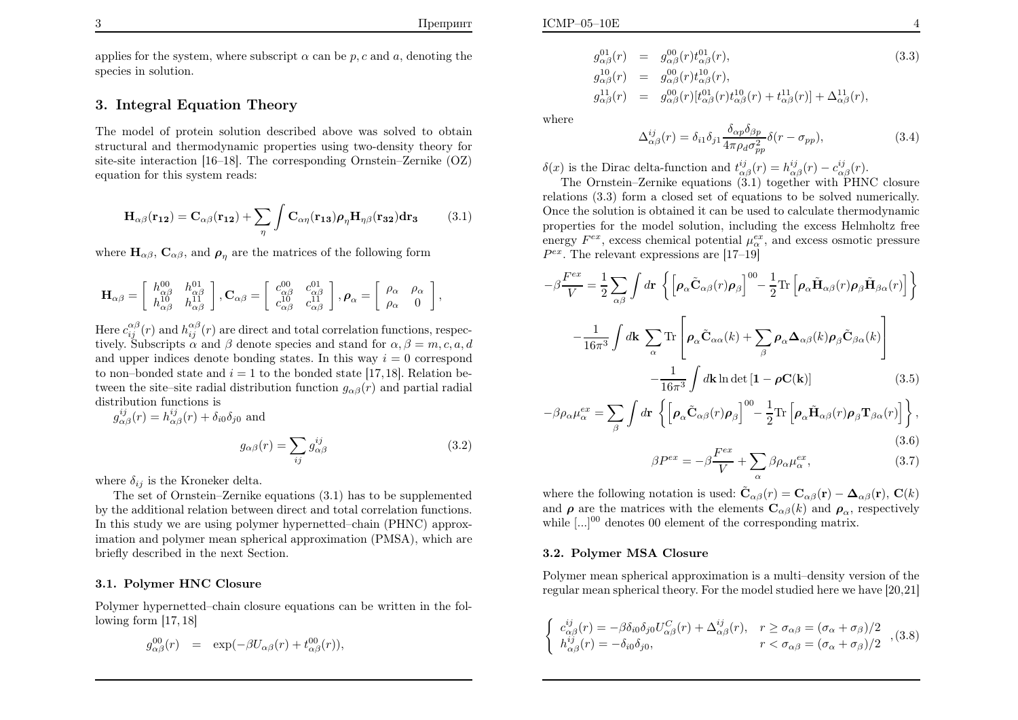applies for the system, where subscript  $\alpha$  can be  $p, c$  and  $a$ , denoting the species in solution.

### 3. Integral Equation Theory

The model of protein solution described above was solved to obtain structural and thermodynamic properties using two-density theory for site-site interaction [16–18]. The corresponding Ornstein–Zernike (OZ)equation for this system reads:

$$
\mathbf{H}_{\alpha\beta}(\mathbf{r}_{12}) = \mathbf{C}_{\alpha\beta}(\mathbf{r}_{12}) + \sum_{\eta} \int \mathbf{C}_{\alpha\eta}(\mathbf{r}_{13}) \rho_{\eta} \mathbf{H}_{\eta\beta}(\mathbf{r}_{32}) d\mathbf{r}_{3}
$$
(3.1)

where  $\mathbf{H}_{\alpha\beta}$ ,  $\mathbf{C}_{\alpha\beta}$ , and  $\rho_{\eta}$  are the matrices of the following form

$$
\mathbf{H}_{\alpha\beta}=\left[\begin{array}{cc}h_{\alpha\beta}^{00} & h_{\alpha\beta}^{01}\\h_{\alpha\beta}^{10} & h_{\alpha\beta}^{11}\end{array}\right],\mathbf{C}_{\alpha\beta}=\left[\begin{array}{cc}c_{\alpha\beta}^{00} & c_{\alpha\beta}^{01}\\c_{\alpha\beta}^{10} & c_{\alpha\beta}^{11}\end{array}\right],\boldsymbol{\rho}_{\alpha}=\left[\begin{array}{cc}\rho_{\alpha} & \rho_{\alpha}\\ \rho_{\alpha} & 0\end{array}\right],
$$

Here  $c_{ij}^{\alpha\beta}(r)$  and  $h_{ij}^{\alpha\beta}(r)$  are direct and total correlation functions, respectively. Subscripts  $\alpha$  and  $\beta$  denote species and stand for  $\alpha, \beta = m, c, a, d$ and upper indices denote bonding states. In this way  $i = 0$  correspond to non–bonded state and  $i = 1$  to the bonded state [17, 18]. Relation between the site–site radial distribution function  $g_{\alpha\beta}(r)$  and partial radial distribution functions is

$$
g_{\alpha\beta}^{ij}(r) = h_{\alpha\beta}^{ij}(r) + \delta_{i0}\delta_{j0} \text{ and}
$$

$$
g_{\alpha\beta}(r) = \sum_{ij} g_{\alpha\beta}^{ij}
$$
(3.2)

where  $\delta_{ij}$  is the Kroneker delta.

The set of Ornstein–Zernike equations (3.1) has to be supplemented by the additional relation between direct and total correlation functions. In this study we are using polymer hypernetted–chain (PHNC) approximation and polymer mean spherical approximation (PMSA), which arebriefly described in the next Section.

#### 3.1. Polymer HNC Closure

Polymer hypernetted–chain closure equations can be written in the following form [17, 18]

$$
g^{00}_{\alpha\beta}(r) = \exp(-\beta U_{\alpha\beta}(r) + t^{00}_{\alpha\beta}(r)),
$$

where

$$
\Delta_{\alpha\beta}^{ij}(r) = \delta_{i1}\delta_{j1}\frac{\delta_{\alpha p}\delta_{\beta p}}{4\pi\rho_d\sigma_{pp}^2}\delta(r-\sigma_{pp}),\tag{3.4}
$$

 $δ(x)$  is the Dirac delta-function and  $t_{\alpha\beta}^{ij}(r) = h_{\alpha\beta}^{ij}(r) - c_{\alpha\beta}^{ij}(r)$ .<br>The Owntain Zamila constitue (0,1) to rath worth DIN

 The Ornstein–Zernike equations (3.1) together with PHNC closure relations (3.3) form <sup>a</sup> closed set of equations to be solved numerically. Once the solution is obtained it can be used to calculate thermodynamic properties for the model solution, including the excess Helmholtz freeenergy  $F^{ex}$ , excess chemical potential  $\mu_{\alpha}^{ex}$ , and excess osmotic pressure  $P^{ex}$ . The relevant expressions are [17–19]

$$
-\beta \frac{F^{ex}}{V} = \frac{1}{2} \sum_{\alpha\beta} \int d\mathbf{r} \left\{ \left[ \rho_{\alpha} \tilde{\mathbf{C}}_{\alpha\beta}(r) \rho_{\beta} \right]^{00} - \frac{1}{2} \text{Tr} \left[ \rho_{\alpha} \tilde{\mathbf{H}}_{\alpha\beta}(r) \rho_{\beta} \tilde{\mathbf{H}}_{\beta\alpha}(r) \right] \right\}
$$

$$
-\frac{1}{16\pi^3} \int d\mathbf{k} \sum_{\alpha} \text{Tr} \left[ \rho_{\alpha} \tilde{\mathbf{C}}_{\alpha\alpha}(k) + \sum_{\beta} \rho_{\alpha} \Delta_{\alpha\beta}(k) \rho_{\beta} \tilde{\mathbf{C}}_{\beta\alpha}(k) \right]
$$

$$
-\frac{1}{16\pi^3} \int d\mathbf{k} \ln \det \left[ \mathbf{1} - \rho \mathbf{C}(\mathbf{k}) \right] \tag{3.5}
$$

$$
-\beta \rho_{\alpha} \mu_{\alpha}^{ex} = \sum_{\beta} \int d\mathbf{r} \left\{ \left[ \rho_{\alpha} \tilde{\mathbf{C}}_{\alpha\beta}(r) \rho_{\beta} \right]^{00} - \frac{1}{2} \text{Tr} \left[ \rho_{\alpha} \tilde{\mathbf{H}}_{\alpha\beta}(r) \rho_{\beta} \mathbf{T}_{\beta\alpha}(r) \right] \right\},\tag{3.6}
$$

$$
\beta P^{ex} = -\beta \frac{F^{ex}}{V} + \sum_{\alpha} \beta \rho_{\alpha} \mu_{\alpha}^{ex},\tag{3.7}
$$

where the following notation is used:  $\tilde{\mathbf{C}}_{\alpha\beta}(r) = \mathbf{C}_{\alpha\beta}(\mathbf{r}) - \mathbf{\Delta}_{\alpha\beta}(\mathbf{r}), \mathbf{C}(k)$ and  $\rho$  are the matrices with the elements  $\mathbf{C}_{\alpha\beta}(k)$  and  $\rho_{\alpha}$ , respectively while  $\left[\ldots\right]^{00}$  denotes 00 element of the corresponding matrix.

#### 3.2. Polymer MSA Closure

Polymer mean spherical approximation is <sup>a</sup> multi–density version of theregular mean spherical theory. For the model studied here we have [20,21]

$$
\begin{cases}\nc_{\alpha\beta}^{ij}(r) = -\beta \delta_{i0} \delta_{j0} U_{\alpha\beta}^C(r) + \Delta_{\alpha\beta}^{ij}(r), & r \ge \sigma_{\alpha\beta} = (\sigma_{\alpha} + \sigma_{\beta})/2 \\
h_{\alpha\beta}^{ij}(r) = -\delta_{i0} \delta_{j0}, & r < \sigma_{\alpha\beta} = (\sigma_{\alpha} + \sigma_{\beta})/2\n\end{cases}
$$
, (3.8)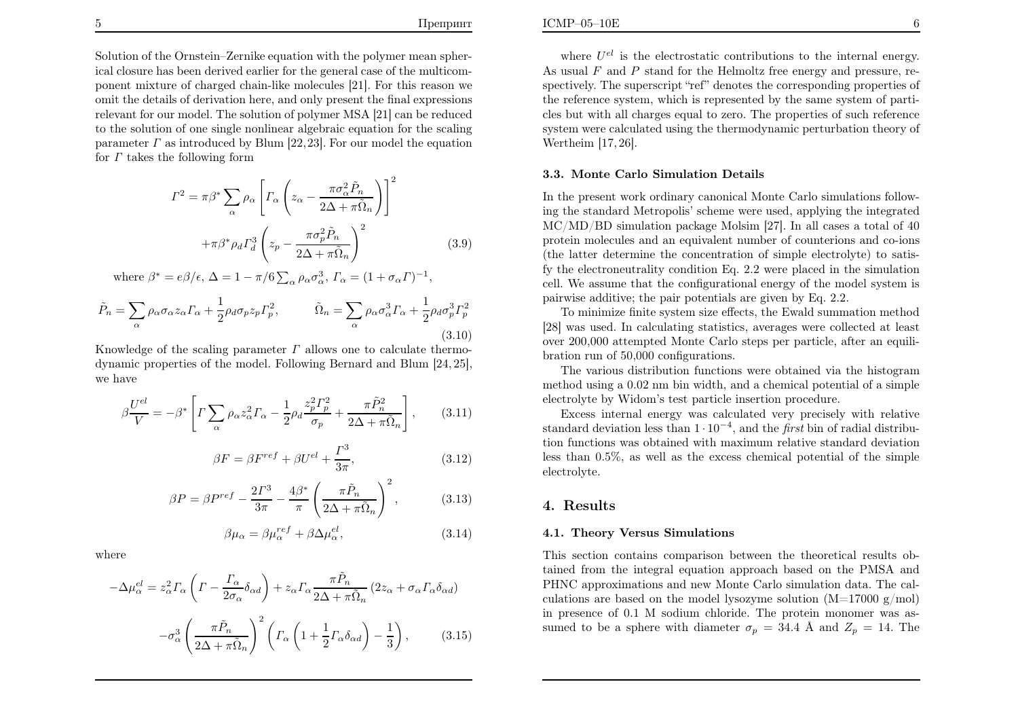Solution of the Ornstein–Zernike equation with the polymer mean spherical closure has been derived earlier for the genera<sup>l</sup> case of the multicomponent mixture of charged chain-like molecules [21]. For this reason we omit the details of derivation here, and only present the final expressions relevant for our model. The solution of polymer MSA [21] can be reduced to the solution of one single nonlinear algebraic equation for the scalingparameter  $\Gamma$  as introduced by Blum [22, 23]. For our model the equation for  $\Gamma$  takes the following form

$$
\Gamma^2 = \pi \beta^* \sum_{\alpha} \rho_{\alpha} \left[ \Gamma_{\alpha} \left( z_{\alpha} - \frac{\pi \sigma_{\alpha}^2 \tilde{P}_n}{2\Delta + \pi \tilde{\Omega}_n} \right) \right]^2
$$

$$
+ \pi \beta^* \rho_d \Gamma_d^3 \left( z_p - \frac{\pi \sigma_p^2 \tilde{P}_n}{2\Delta + \pi \tilde{\Omega}_n} \right)^2 \tag{3.9}
$$

where  $\beta^* = e\beta/\epsilon$ ,  $\Delta = 1 - \pi/6 \sum_{\alpha} \rho_{\alpha} \sigma_{\alpha}^3$ ,  $\Gamma_{\alpha} = (1 + \sigma_{\alpha} \Gamma)^{-1}$ ,

$$
\tilde{P}_n = \sum_{\alpha} \rho_{\alpha} \sigma_{\alpha} z_{\alpha} \Gamma_{\alpha} + \frac{1}{2} \rho_d \sigma_p z_p \Gamma_p^2, \qquad \tilde{\Omega}_n = \sum_{\alpha} \rho_{\alpha} \sigma_{\alpha}^3 \Gamma_{\alpha} + \frac{1}{2} \rho_d \sigma_p^3 \Gamma_p^2
$$
\n(3.10)

Knowledge of the scaling parameter  $\Gamma$  allows one to calculate thermodynamic properties of the model. Following Bernard and Blum [24, 25], we have

$$
\beta \frac{U^{el}}{V} = -\beta^* \left[ \Gamma \sum_{\alpha} \rho_{\alpha} z_{\alpha}^2 \Gamma_{\alpha} - \frac{1}{2} \rho_d \frac{z_p^2 \Gamma_p^2}{\sigma_p} + \frac{\pi \tilde{P}_n^2}{2\Delta + \pi \tilde{\Omega}_n} \right], \qquad (3.11)
$$

$$
\beta F = \beta F^{ref} + \beta U^{el} + \frac{\Gamma^3}{3\pi},\tag{3.12}
$$

$$
\beta P = \beta P^{ref} - \frac{2\Gamma^3}{3\pi} - \frac{4\beta^*}{\pi} \left(\frac{\pi \tilde{P}_n}{2\Delta + \pi \tilde{\Omega}_n}\right)^2, \tag{3.13}
$$

$$
\beta \mu_{\alpha} = \beta \mu_{\alpha}^{ref} + \beta \Delta \mu_{\alpha}^{el},\tag{3.14}
$$

where

$$
-\Delta\mu_{\alpha}^{el} = z_{\alpha}^{2} \Gamma_{\alpha} \left( \Gamma - \frac{\Gamma_{\alpha}}{2\sigma_{\alpha}} \delta_{\alpha d} \right) + z_{\alpha} \Gamma_{\alpha} \frac{\pi \tilde{P}_{n}}{2\Delta + \pi \tilde{\Omega}_{n}} (2z_{\alpha} + \sigma_{\alpha} \Gamma_{\alpha} \delta_{\alpha d})
$$

$$
-\sigma_{\alpha}^{3} \left( \frac{\pi \tilde{P}_{n}}{2\Delta + \pi \tilde{\Omega}_{n}} \right)^{2} \left( \Gamma_{\alpha} \left( 1 + \frac{1}{2} \Gamma_{\alpha} \delta_{\alpha d} \right) - \frac{1}{3} \right), \qquad (3.15)
$$

where  $U^{el}$  is the electrostatic contributions to the internal energy. As usual  $F$  and  $P$  stand for the Helmoltz free energy and pressure, respectively. The superscript "ref" denotes the corresponding properties of the reference system, which is represented by the same system of particles but with all charges equa<sup>l</sup> to zero. The properties of such reference system were calculated using the thermodynamic perturbation theory of Wertheim [17, 26].

#### 3.3. Monte Carlo Simulation Details

In the present work ordinary canonical Monte Carlo simulations following the standard Metropolis' scheme were used, applying the integrated MC/MD/BD simulation package Molsim [27]. In all cases <sup>a</sup> total of <sup>40</sup> protein molecules and an equivalent number of counterions and co-ions (the latter determine the concentration of simple electrolyte) to satisfy the electroneutrality condition Eq. 2.2 were <sup>p</sup>laced in the simulation cell. We assume that the configurational energy of the model system ispairwise additive; the pair potentials are <sup>g</sup>iven by Eq. 2.2.

To minimize finite system size effects, the Ewald summation method [28] was used. In calculating statistics, averages were collected at least over 200,000 attempted Monte Carlo steps per particle, after an equilibration run of 50,000 configurations.

The various distribution functions were obtained via the histogram method using <sup>a</sup> 0.02 nm bin width, and <sup>a</sup> chemical potential of <sup>a</sup> simple electrolyte by Widom's test particle insertion procedure.

Excess internal energy was calculated very precisely with relativestandard deviation less than  $1 \cdot 10^{-4}$ , and the *first* bin of radial distribution functions was obtained with maximum relative standard deviation less than <sup>0</sup>.5%, as well as the excess chemical potential of the simple electrolyte.

## 4. Results

### 4.1. Theory Versus Simulations

This section contains comparison between the theoretical results obtained from the integral equation approac<sup>h</sup> based on the PMSA and PHNC approximations and new Monte Carlo simulation data. The calculations are based on the model lysozyme solution  $(M=17000 \text{ g/mol})$ in presence of 0.1 <sup>M</sup> sodium chloride. The protein monomer was assumed to be a sphere with diameter  $\sigma_p = 34.4 \text{ Å}$  and  $Z_p = 14$ . The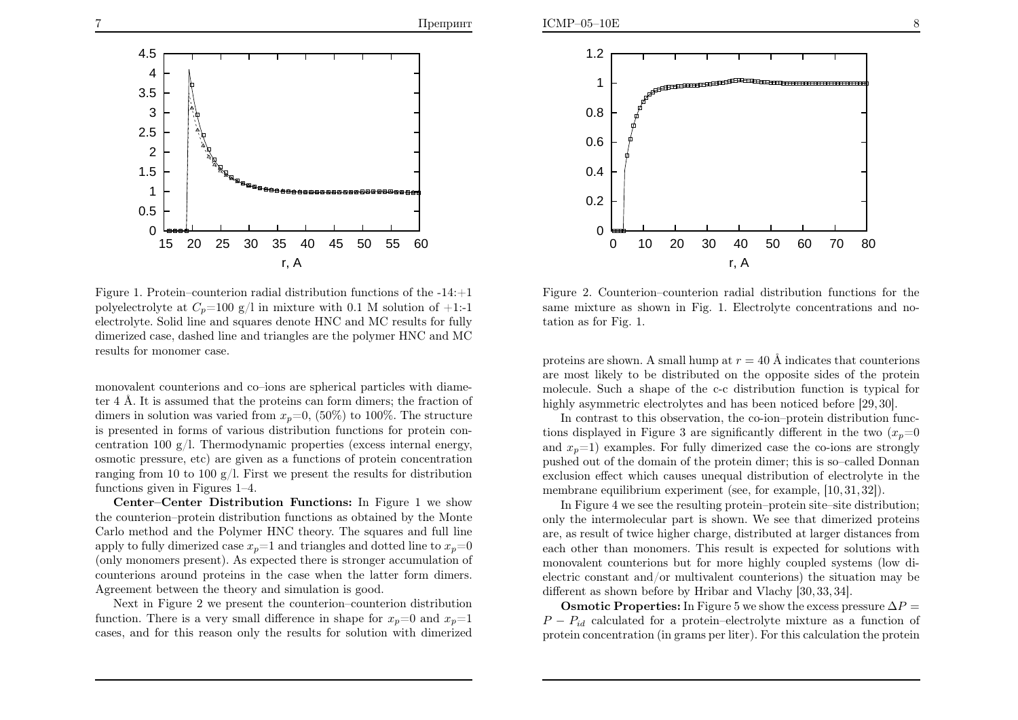

Figure 1. Protein–counterion radial distribution functions of the  $-14:+1$ polyelectrolyte at  $C_p$ =100 g/l in mixture with 0.1 M solution of +1:-1 electrolyte. Solid line and squares denote HNC and MC results for fully dimerized case, dashed line and triangles are the polymer HNC and MCresults for monomer case.

monovalent counterions and co–ions are spherical particles with diameter  $4 \text{ Å}$ . It is assumed that the proteins can form dimers; the fraction of dimers in solution was varied from  $x_p=0$ , (50%) to 100%. The structure is presented in forms of various distribution functions for protein concentration 100 g/l. Thermodynamic properties (excess internal energy, osmotic pressure, etc) are <sup>g</sup>iven as <sup>a</sup> functions of protein concentration ranging from <sup>10</sup> to <sup>100</sup> g/l. First we present the results for distributionfunctions <sup>g</sup>iven in Figures 1–4.

Center–Center Distribution Functions: In Figure <sup>1</sup> we show the counterion–protein distribution functions as obtained by the Monte Carlo method and the Polymer HNC theory. The squares and full lineapply to fully dimerized case  $x_p=1$  and triangles and dotted line to  $x_p=0$ (only monomers present). As expected there is stronger accumulation of counterions around proteins in the case when the latter form dimers. Agreement between the theory and simulation is good.

Next in Figure <sup>2</sup> we present the counterion–counterion distributionfunction. There is a very small difference in shape for  $x_p=0$  and  $x_p=1$ cases, and for this reason only the results for solution with dimerized



Figure 2. Counterion–counterion radial distribution functions for the same mixture as shown in Fig. 1. Electrolyte concentrations and notation as for Fig. 1.

proteins are shown. A small hump at  $r = 40 \text{ Å}$  indicates that counterions are most likely to be distributed on the opposite sides of the protein molecule. Such <sup>a</sup> shape of the c-c distribution function is typical forhighly asymmetric electrolytes and has been noticed before [29, 30].

In contrast to this observation, the co-ion–protein distribution functions displayed in Figure 3 are significantly different in the two  $(x_p=0)$ and  $x_p=1$ ) examples. For fully dimerized case the co-ions are strongly pushed out of the domain of the protein dimer; this is so–called Donnan exclusion effect which causes unequa<sup>l</sup> distribution of electrolyte in themembrane equilibrium experiment (see, for example, [10, 31, 32]).

In Figure <sup>4</sup> we see the resulting protein–protein site–site distribution; only the intermolecular part is shown. We see that dimerized proteins are, as result of twice higher charge, distributed at larger distances from each other than monomers. This result is expected for solutions with monovalent counterions but for more highly coupled systems (low dielectric constant and/or multivalent counterions) the situation may bedifferent as shown before by Hribar and Vlachy [30, 33, 34].

**Osmotic Properties:** In Figure 5 we show the excess pressure  $\Delta P =$  $P - P_{id}$  calculated for a protein–electrolyte mixture as a function of protein concentration (in grams per liter). For this calculation the protein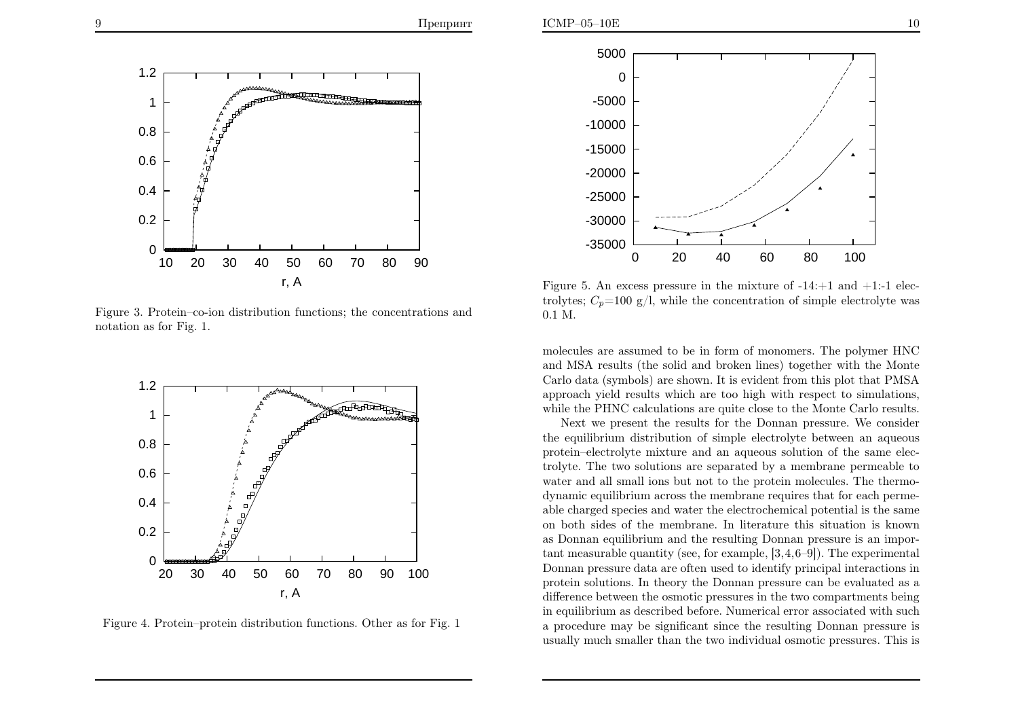

Figure 3. Protein–co-ion distribution functions; the concentrations andnotation as for Fig. 1.



Figure 4. Protein–protein distribution functions. Other as for Fig. <sup>1</sup>



Figure 5. An excess pressure in the mixture of  $-14:+1$  and  $+1:-1$  electrolytes;  $C_p=100 \text{ g/l}$ , while the concentration of simple electrolyte was 0.1 M.

molecules are assumed to be in form of monomers. The polymer HNC and MSA results (the solid and broken lines) together with the Monte Carlo data (symbols) are shown. It is evident from this <sup>p</sup>lot that PMSA approac<sup>h</sup> <sup>y</sup>ield results which are too high with respect to simulations, while the PHNC calculations are quite close to the Monte Carlo results.

Next we present the results for the Donnan pressure. We consider the equilibrium distribution of simple electrolyte between an aqueous protein–electrolyte mixture and an aqueous solution of the same electrolyte. The two solutions are separated by <sup>a</sup> membrane permeable to water and all small ions but not to the protein molecules. The thermodynamic equilibrium across the membrane requires that for each permeable charged species and water the electrochemical potential is the same on both sides of the membrane. In literature this situation is known as Donnan equilibrium and the resulting Donnan pressure is an important measurable quantity (see, for example, [3,4,6–9]). The experimental Donnan pressure data are often used to identify principal interactions in protein solutions. In theory the Donnan pressure can be evaluated as <sup>a</sup> difference between the osmotic pressures in the two compartments being in equilibrium as described before. Numerical error associated with such <sup>a</sup> procedure may be significant since the resulting Donnan pressure isusually much smaller than the two individual osmotic pressures. This is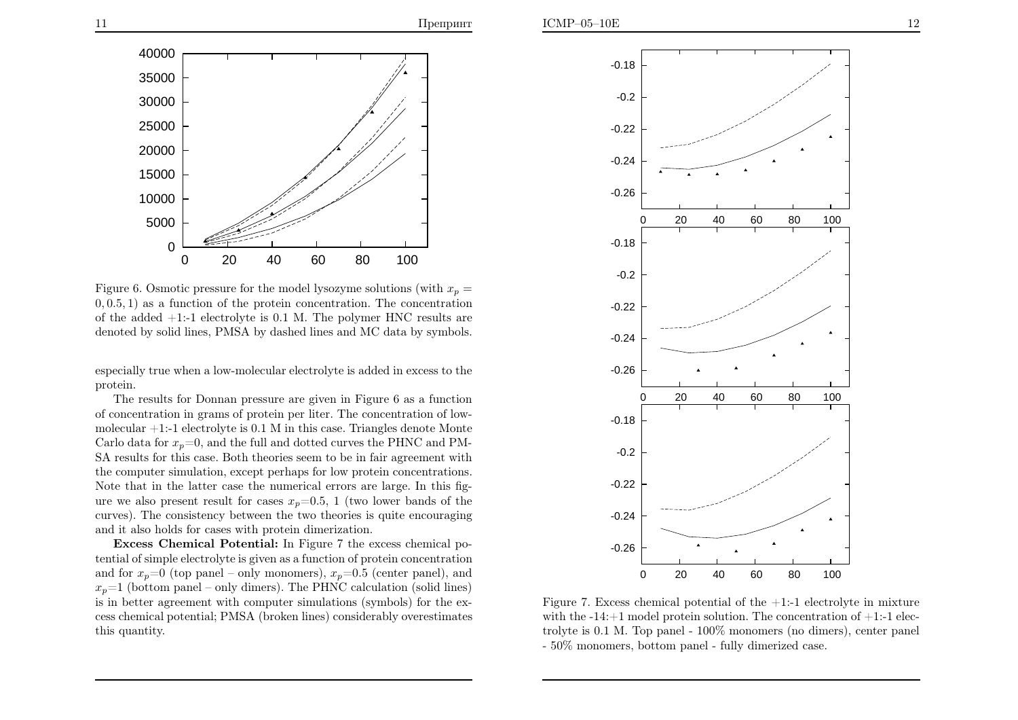

Figure 6. Osmotic pressure for the model lysozyme solutions (with  $x_p =$  0, <sup>0</sup>.5, <sup>1</sup>) as <sup>a</sup> function of the protein concentration. The concentration of the added +1:-1 electrolyte is 0.1 M. The polymer HNC results aredenoted by solid lines, PMSA by dashed lines and MC data by symbols.

especially true when <sup>a</sup> low-molecular electrolyte is added in excess to theprotein.

The results for Donnan pressure are <sup>g</sup>iven in Figure <sup>6</sup> as <sup>a</sup> function of concentration in grams of protein per liter. The concentration of lowmolecular  $+1$ :-1 electrolyte is 0.1 M in this case. Triangles denote Monte Carlo data for  $x_p=0$ , and the full and dotted curves the PHNC and PM-SA results for this case. Both theories seem to be in fair agreement with the computer simulation, except perhaps for low protein concentrations. Note that in the latter case the numerical errors are large. In this figure we also present result for cases  $x_p=0.5$ , 1 (two lower bands of the curves). The consistency between the two theories is quite encouragingand it also holds for cases with protein dimerization.

Excess Chemical Potential: In Figure <sup>7</sup> the excess chemical potential of simple electrolyte is <sup>g</sup>iven as <sup>a</sup> function of protein concentrationand for  $x_p=0$  (top panel – only monomers),  $x_p=0.5$  (center panel), and  $x_p=1$  (bottom panel – only dimers). The PHNC calculation (solid lines) is in better agreement with computer simulations (symbols) for the excess chemical potential; PMSA (broken lines) considerably overestimates this quantity.



Figure 7. Excess chemical potential of the  $+1$ :-1 electrolyte in mixture with the  $-14:+1$  model protein solution. The concentration of  $+1:$ -1 electrolyte is 0.1 M. Top pane<sup>l</sup> - 100% monomers (no dimers), center pane<sup>l</sup> - 50% monomers, bottom pane<sup>l</sup> - fully dimerized case.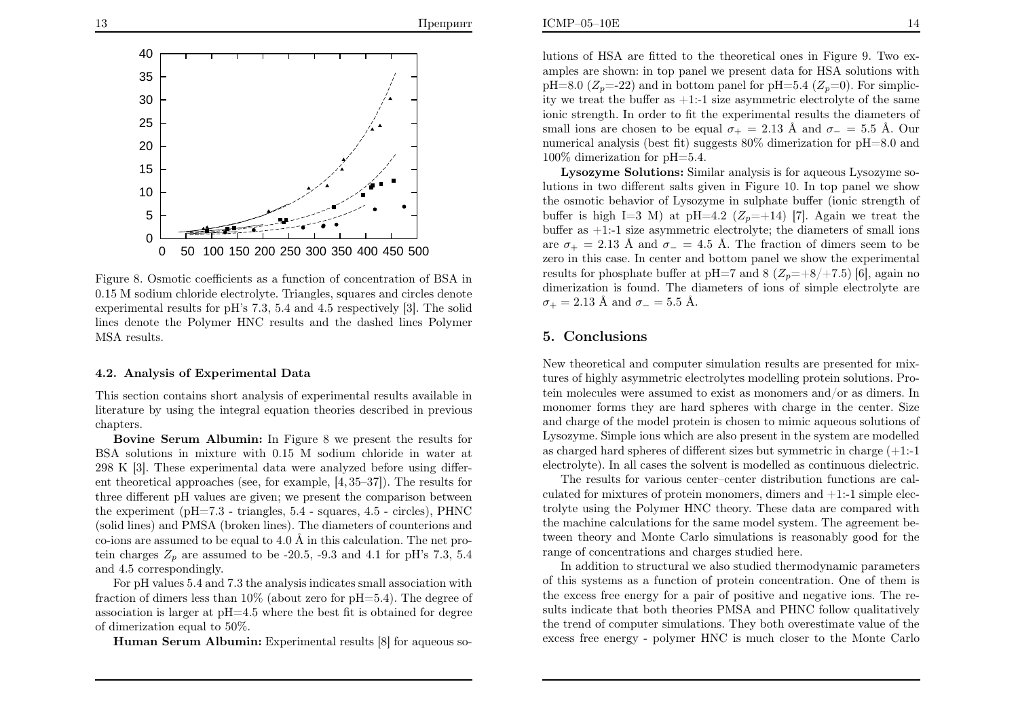

Figure 8. Osmotic coefficients as <sup>a</sup> function of concentration of BSA in 0.15 <sup>M</sup> sodium chloride electrolyte. Triangles, squares and circles denote experimental results for <sup>p</sup>H's 7.3, 5.4 and 4.5 respectively [3]. The solid lines denote the Polymer HNC results and the dashed lines PolymerMSA results.

### 4.2. Analysis of Experimental Data

This section contains short analysis of experimental results available in literature by using the integral equation theories described in previouschapters.

Bovine Serum Albumin: In Figure <sup>8</sup> we present the results for BSA solutions in mixture with 0.15 <sup>M</sup> sodium chloride in water at <sup>298</sup> <sup>K</sup> [3]. These experimental data were analyzed before using different theoretical approaches (see, for example, [4, 35–37]). The results for three different <sup>p</sup><sup>H</sup> values are <sup>g</sup>iven; we present the comparison between the experiment (pH=7.3 - triangles, 5.4 - squares, 4.5 - circles), PHNC (solid lines) and PMSA (broken lines). The diameters of counterions andco-ions are assumed to be equal to  $4.0 \text{ Å}$  in this calculation. The net protein charges  $Z_p$  are assumed to be -20.5, -9.3 and 4.1 for pH's 7.3, 5.4 and 4.5 correspondingly.

For <sup>p</sup><sup>H</sup> values 5.4 and 7.3 the analysis indicates small association with fraction of dimers less than 10% (about zero for <sup>p</sup>H=5.4). The degree of association is larger at  $pH=4.5$  where the best fit is obtained for degree of dimerization equa<sup>l</sup> to 50%.

Human Serum Albumin: Experimental results [8] for aqueous so-

lutions of HSA are fitted to the theoretical ones in Figure 9. Two ex amples are shown: in top pane<sup>l</sup> we present data for HSA solutions with $pH=8.0$  ( $Z_p=22$ ) and in bottom panel for  $pH=5.4$  ( $Z_p=0$ ). For simplicity we treat the buffer as  $+1$ :-1 size asymmetric electrolyte of the same ionic strength. In order to fit the experimental results the diameters of small ions are chosen to be equal  $\sigma_+ = 2.13 \text{ Å}$  and  $\sigma_- = 5.5 \text{ Å}$ . Our numerical analysis (best fit) suggests 80% dimerization for <sup>p</sup>H=8.0 and100% dimerization for <sup>p</sup>H=5.4.

Lysozyme Solutions: Similar analysis is for aqueous Lysozyme solutions in two different salts <sup>g</sup>iven in Figure 10. In top pane<sup>l</sup> we show the osmotic behavior of Lysozyme in sulphate buffer (ionic strength of buffer is high I=3 M) at pH=4.2  $(Z_p=+14)$  [7]. Again we treat the buffer as +1:-1 size asymmetric electrolyte; the diameters of small ionsare  $\sigma_+ = 2.13$  Å and  $\sigma_- = 4.5$  Å. The fraction of dimers seem to be zero in this case. In center and bottom pane<sup>l</sup> we show the experimental results for phosphate buffer at pH=7 and 8 ( $Z_p$ =+8/+7.5) [6], again no dimerization is found. The diameters of ions of simple electrolyte are $\sigma_+ = 2.13 \text{ Å} \text{ and } \sigma_- = 5.5 \text{ Å}.$ 

### 5. Conclusions

New theoretical and computer simulation results are presented for mixtures of highly asymmetric electrolytes modelling protein solutions. Protein molecules were assumed to exist as monomers and/or as dimers. In monomer forms they are hard spheres with charge in the center. Size and charge of the model protein is chosen to mimic aqueous solutions of Lysozyme. Simple ions which are also present in the system are modelled as charged hard spheres of different sizes but symmetric in charge (+1:-1electrolyte). In all cases the solvent is modelled as continuous dielectric.

The results for various center–center distribution functions are calculated for mixtures of protein monomers, dimers and  $+1$ :-1 simple electrolyte using the Polymer HNC theory. These data are compared with the machine calculations for the same model system. The agreement between theory and Monte Carlo simulations is reasonably good for the range of concentrations and charges studied here.

In addition to structural we also studied thermodynamic parameters of this systems as <sup>a</sup> function of protein concentration. One of them is the excess free energy for <sup>a</sup> pair of positive and negative ions. The results indicate that both theories PMSA and PHNC follow qualitatively the trend of computer simulations. They both overestimate value of theexcess free energy - polymer HNC is much closer to the Monte Carlo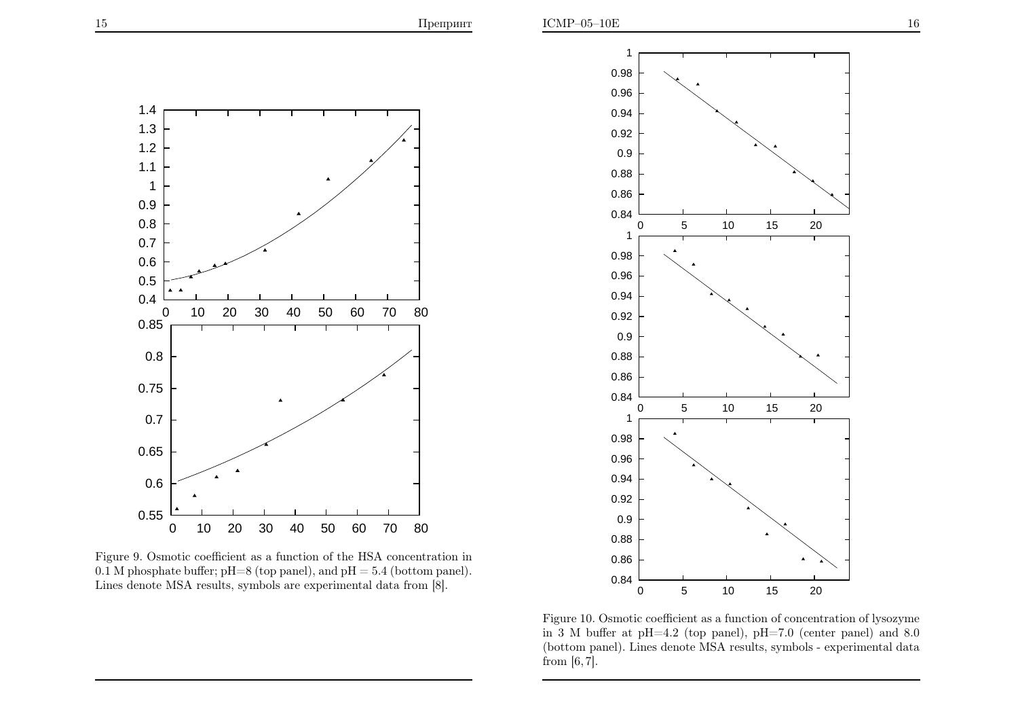

Figure 9. Osmotic coefficient as <sup>a</sup> function of the HSA concentration in $0.1$  M phosphate buffer; pH=8 (top panel), and pH =  $5.4$  (bottom panel). Lines denote MSA results, symbols are experimental data from [8].



Figure 10. Osmotic coefficient as a function of concentration of lysozyme in <sup>3</sup> <sup>M</sup> buffer at <sup>p</sup>H=4.2 (top panel), <sup>p</sup>H=7.0 (center panel) and 8.0 (bottom panel). Lines denote MSA results, symbols - experimental datafrom  $[6, 7]$ .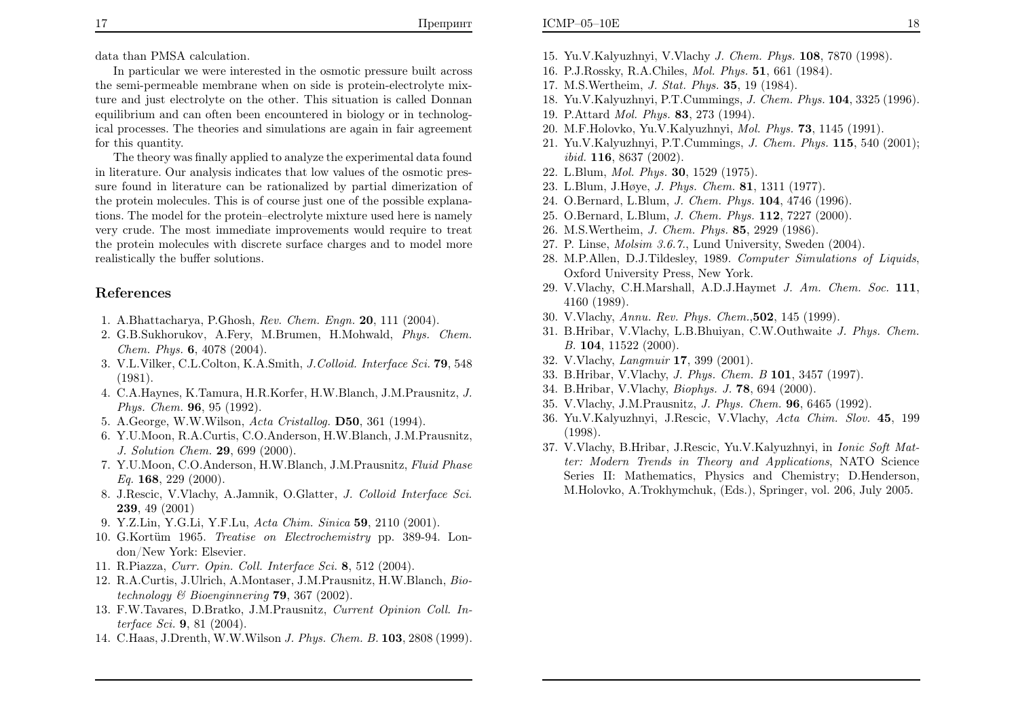In particular we were interested in the osmotic pressure built across the semi-permeable membrane when on side is protein-electrolyte mixture and just electrolyte on the other. This situation is called Donnan equilibrium and can often been encountered in biology or in technological processes. The theories and simulations are again in fair agreementfor this quantity.

The theory was finally applied to analyze the experimental data found in literature. Our analysis indicates that low values of the osmotic pressure found in literature can be rationalized by partial dimerization of the protein molecules. This is of course just one of the possible explanations. The model for the protein–electrolyte mixture used here is namely very crude. The most immediate improvements would require to treat the protein molecules with discrete surface charges and to model morerealistically the buffer solutions.

# References

- 1. A.Bhattacharya, P.Ghosh, Rev. Chem. Engn. <sup>20</sup>, <sup>111</sup> (2004).
- 2. G.B.Sukhorukov, A.Fery, M.Brumen, H.Mohwald, Phys. Chem.  $Chem. Phys. 6, 4078 (2004).$
- 3. V.L.Vilker, C.L.Colton, K.A.Smith, J.Colloid. Interface Sci. <sup>79</sup>, <sup>548</sup>(1981).
- 4. C.A.Haynes, K.Tamura, H.R.Korfer, H.W.Blanch, J.M.Prausnitz, J. Phys. Chem. <sup>96</sup>, <sup>95</sup> (1992).
- 5. A.George, W.W.Wilson, Acta Cristallog. D50, <sup>361</sup> (1994).
- 6. Y.U.Moon, R.A.Curtis, C.O.Anderson, H.W.Blanch, J.M.Prausnitz, J. Solution Chem. <sup>29</sup>, <sup>699</sup> (2000).
- 7. Y.U.Moon, C.O.Anderson, H.W.Blanch, J.M.Prausnitz, Fluid Phase $Eq. 168, 229 (2000).$
- 8. J.Rescic, V.Vlachy, A.Jamnik, O.Glatter, J. Colloid Interface Sci. <sup>239</sup>, <sup>49</sup> (2001)
- 9. Y.Z.Lin, Y.G.Li, Y.F.Lu, Acta Chim. Sinica **59**, 2110 (2001).
- 10. G.Kortüm 1965. *Treatise on Electrochemistry* pp. 389-94. London/New York: Elsevier.
- 11. R.Piazza, Curr. Opin. Coll. Interface Sci. <sup>8</sup>, <sup>512</sup> (2004).
- 12. R.A.Curtis, J.Ulrich, A.Montaser, J.M.Prausnitz, H.W.Blanch, Biotechnology & Bioenginnering **79**, 367 (2002).
- 13. F.W.Tavares, D.Bratko, J.M.Prausnitz, Current Opinion Coll. Interface Sci. <sup>9</sup>, <sup>81</sup> (2004).
- 14. C.Haas, J.Drenth, W.W.Wilson *J. Phys. Chem. B.* **103**, 2808 (1999).
- 15. Yu.V.Kalyuzhnyi, V.Vlachy J. Chem. Phys. <sup>108</sup>, <sup>7870</sup> (1998).
- 16. P.J.Rossky, R.A.Chiles, Mol. Phys. <sup>51</sup>, <sup>661</sup> (1984).
- 17. M.S.Wertheim, J. Stat. Phys. <sup>35</sup>, <sup>19</sup> (1984).
- 18. Yu.V.Kalyuzhnyi, P.T.Cummings, J. Chem. Phys. <sup>104</sup>, <sup>3325</sup> (1996).
- 19. P.Attard Mol. Phys. <sup>83</sup>, <sup>273</sup> (1994).
- 20. M.F.Holovko, Yu.V.Kalyuzhnyi, Mol. Phys. <sup>73</sup>, <sup>1145</sup> (1991).
- 21. Yu.V.Kalyuzhnyi, P.T.Cummings, J. Chem. Phys. <sup>115</sup>, <sup>540</sup> (2001);  $ibid.$   ${\bf 116}, {\bf 8637}\ ({\bf 2002}).$
- 22. L.Blum, Mol. Phys. <sup>30</sup>, <sup>1529</sup> (1975).
- 23. L.Blum, J.Høye, J. Phys. Chem. <sup>81</sup>, <sup>1311</sup> (1977).
- 24. O.Bernard, L.Blum, J. Chem. Phys. <sup>104</sup>, <sup>4746</sup> (1996).
- 25. O.Bernard, L.Blum, J. Chem. Phys. <sup>112</sup>, <sup>7227</sup> (2000).
- 26. M.S.Wertheim, J. Chem. Phys. <sup>85</sup>, <sup>2929</sup> (1986).
- 27. P. Linse, Molsim 3.6.7., Lund University, Sweden (2004).
- 28. M.P.Allen, D.J.Tildesley, 1989. Computer Simulations of Liquids, Oxford University Press, New York.
- 29. V.Vlachy, C.H.Marshall, A.D.J.Haymet J. Am. Chem. Soc. <sup>111</sup>, <sup>4160</sup> (1989).
- 30. V.Vlachy, Annu. Rev. Phys. Chem.,502, <sup>145</sup> (1999).
- 31. B.Hribar, V.Vlachy, L.B.Bhuiyan, C.W.Outhwaite J. Phys. Chem. B. <sup>104</sup>, <sup>11522</sup> (2000).
- 32. V.Vlachy, Langmuir <sup>17</sup>, <sup>399</sup> (2001).
- 33. B.Hribar, V.Vlachy, *J. Phys. Chem. B* 101, 3457 (1997).
- 34. B.Hribar, V.Vlachy, Biophys. J. <sup>78</sup>, <sup>694</sup> (2000).
- 35. V.Vlachy, J.M.Prausnitz, J. Phys. Chem. <sup>96</sup>, <sup>6465</sup> (1992).
- 36. Yu.V.Kalyuzhnyi, J.Rescic, V.Vlachy, Acta Chim. Slov. <sup>45</sup>, <sup>199</sup>(1998).
- 37. V.Vlachy, B.Hribar, J.Rescic, Yu.V.Kalyuzhnyi, in Ionic Soft Matter: Modern Trends in Theory and Applications, NATO Science Series II: Mathematics, Physics and Chemistry; D.Henderson, M.Holovko, A.Trokhymchuk, (Eds.), Springer, vol. 206, July 2005.